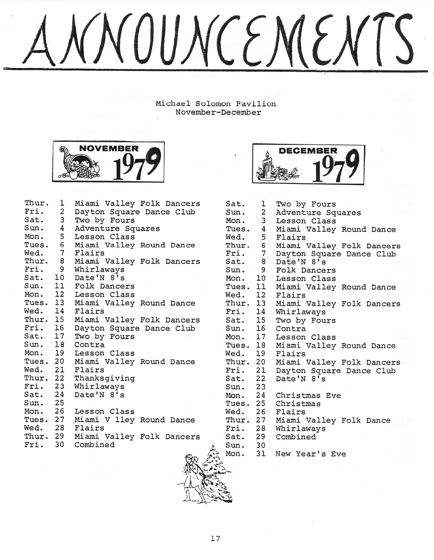# WOUNCEMEN'

Michael Solomon Pavilion November-December



| Thur.             | 1                       | Miami Valley Folk Dancers |
|-------------------|-------------------------|---------------------------|
| Fri.              | $\overline{2}$          | Dayton Square Dance Club  |
| Sat.              | $\overline{\mathbf{3}}$ | Two by Fours              |
| Sun.              | 4                       | Adventure Squares         |
| Sun. 4<br>Mon. 5  |                         | Lesson Class              |
| Tues. 6           |                         | Miami Valley Round Dance  |
| Wed. 7            |                         | Flairs                    |
| Thur. 8<br>Fri. 9 |                         | Miami Valley Folk Dancers |
|                   |                         | Whirlaways                |
| Sat. 10           |                         | Date'N 8's                |
| Sun. 11           |                         | Folk Dancers              |
| Mon. 12           |                         | Lesson Class              |
| Tues. 13          |                         | Miami Valley Round Dance  |
| Wed. 14           |                         | Flairs                    |
| Thur. 15          |                         | Miami Valley Folk Dancers |
| Fri. 16           |                         | Dayton Square Dance Club  |
| Sat. 17           |                         | Two by Fours              |
| Sun. 18           |                         | Contra                    |
| Mon. 19           |                         | Lesson Class              |
| Tues. 20          |                         | Miami Valley Round Dance  |
| Wed. 21           |                         | Flairs                    |
|                   |                         | Thur. 22 Thanksgiving     |
| Fri. 23           |                         | Whirlaways                |
| Sat. 24           |                         | Date'N 8's                |
| Sun. 25           |                         |                           |
| Mon. 26           |                         | Lesson Class              |
| Tues. 27          |                         | Miami V lley Round Dance  |
| Wed. 28           |                         | Flairs                    |
| Thur. 29          |                         | Miami Valley Folk Dancers |
| Fri. 30           |                         | Combined                  |



| Sat.      | ı                       | Two by Fours              |
|-----------|-------------------------|---------------------------|
| Sun.      | $\sim$ 2                | Adventure Squares         |
| Mon.      | $\overline{\mathbf{3}}$ | Lesson Class              |
| Tues. 4   |                         | Miami Valley Round Dance  |
| Wed. 5    |                         | Flairs                    |
| Thur. 6   |                         | Miami Valley Folk Dancers |
| Fri. $7$  |                         | Dayton Square Dance Club  |
| Sat. 8    |                         | Date'N 8's                |
| Sun.      | 9                       | Folk Dancers              |
| Mon. 10   |                         | Lesson Class              |
| Tues. 11  |                         | Miami Valley Round Dance  |
| Wed. 12   |                         | Flairs                    |
| Thur. 13  |                         | Miami Valley Folk Dancers |
| Fri. 14   |                         | Whirlaways                |
| Sat. 15   |                         | Two by Fours              |
| Sun. 16   |                         | Contra                    |
| Mon. 17   |                         | Lesson Class              |
| Tues. 18  |                         | Miami Valley Round Dance  |
| Wed. 19   |                         | Flairs                    |
| Thur. 20  |                         | Miami Valley Folk Dancers |
| Fri. 21   |                         | Dayton Square Dance Club  |
| Sat. 22   |                         | Date'N 8's                |
| Sun. 23   |                         |                           |
| Mon. $24$ |                         | Christmas Eve             |
| Tues. 25  |                         | Christmas                 |
| Wed. 26   |                         | Flairs                    |
| Thur. 27  |                         | Miami Valley Folk Dance   |
| Fri. 28   |                         | Whirlaways                |
| Sat. 29   |                         | Combined                  |
| Sun.      | 30                      |                           |

New Year's Eve 31

,I:: '. **.........'\_**  $\frac{1}{\sqrt{2}}$ 

 $\mathbb{Z}_{\mathbb{Z}}$ 

 $Mon.$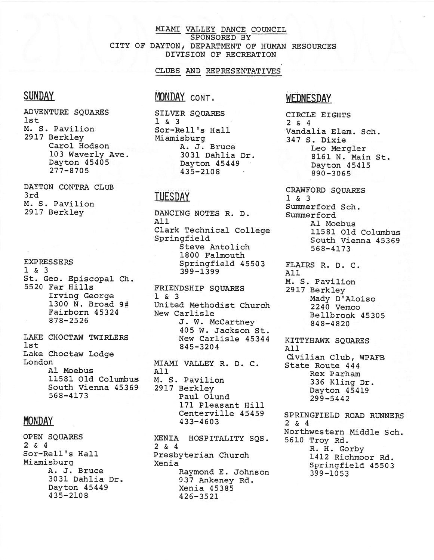#### MIAMI VALLEY DANCE COUNCIL SPONSORED BY CITY OF DAYTON; DEPARTMENT OF HUMAN RESOURCES DIVISION OF RECREATION

#### CLUBS AND REPRESENTATIVES

## **SUNDAY**

ADVENTURE SOUARES  $1st$ M. S. Pavilion 2917 Berkley Carol Hodson 103 Waverly Ave. Dayton 45405 277-8705

DAYTON CONTRA CLUB 3rd M. S. Pavilion 2917 Berkley

#### EXPRESSERS 1 & 3 St. Geo. Episcopal Ch. 5520 Far Hills Irving George 1300 N. Broad 9# Fairborn 45324 878-2526

LAKE CHOCTAW TWIRLERS 1st Lake Choctaw Lodge London Al Moebus 11581 Old Columbus South Vienna 45369 568-4173

#### **MONDAY**

OPEN SQUARES 2 & 4 Sor-Rell's Hall Miamisburg A. J. Bruce 3031 Dahlia Dr. Dayton 45449 435-2108

### MONDAY CONT.

SILVER SOUARES 1 & 3 Sor-Rell's Hall Miamisburg A. J. Bruce 3031 Dahlia Dr. Dayton 45449 435-2108

#### **TUESDAY**

DANCING NOTES R. D. All Clark Technical College Springfield Steve Antolich 1800 Falmouth Springfield 45503 399-1399

FRIENDSHIP SQUARES 1 & 3 United Methodist Church New Carlisle J. W. McCartney 405 W. Jackson St. New Carlisle 45344 845-3204

MIAMI VALLEY R. D. C. All M. S. Pavilion 2917 Berkley Paul Olund 171 Pleasant Hill Centerville 45459 433-4603

XENIA HOSPITALITY SQS. 2 & 4 Presbyterian Church Xenia Raymond E. Johnson 937 Ankeney Rd. Xenia 45385 426-3521

### WEDNESDAY

CIRCLE EIGHTS  $2 \times 4$ Vandalia Elem. Sch. 347 S. Dixie Leo Mergler 8161 N. 'Main St. Dayton 45415 890-3065

CRAWFORD SOUARES 1 & 3 Summerford Sch. Summerford Al Moebus 11581 Old Columbus South Vienna 45369 568-4173

FLAIRS R. D. C. All M. S. Pavilion 2917 Berkley Mady D'Aloiso 2240 Vemco Bellbrook 45305 848-4820

KITTYHAWK SQUARES All Civilian Club, WPAFB State Route 444 Rex Parham 336 Kling Dr. Dayton 45419 299-5442

SPRINGFIELD ROAD RUNNERS  $2 \times 4$ Northwestern Middle Sch. 5610 Troy Rd. R. H. Gorby 1412 Richmoor Rd. Springfield 45503 399-1053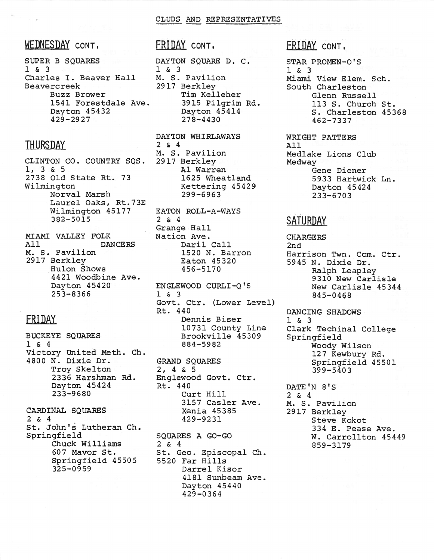#### WEDNESDAY CONT.

SUPER B SQUARES 1 & 3 Charles I. Beaver Hall Beavercreek Buzz Brower 1541 Forestdale Ave. Dayton 45432 429-2927

### **THURSDAY**

CLINTON CO. COUNTRY SQS. 1, 3 & 5 2738 Old State Rt. 73 Wilmington Norval Marsh Laurel Oaks, Rt.73E Wilmington 45177 382-5015

MIAMI VALLEY FOLK All DANCERS M. S. Pavilion 2917 Berkley .Hulon Shows 4421 Woodbine Ave. Dayton 45420 253-8366

# FRIDAY

BUCKEYE SQUARES 1 & 4 Victory United Meth. Ch. 4800 N. Dixie Dr. Troy Skelton 2336 Harshman Rd. Dayton 45424 233-9680

CARDINAL SOUARES 2 & 4 St. John's Lutheran Ch. Springfield Chuck Williams 607 Mavor St. Springfield 45505 325-0959

#### FRIDAY CONT.

DAYTON SQUARE D. C. 1 & 3 M. S. Pavilion 2917 Berkley Tim Kelleher 3915 Pilgrim Rd. Dayton 45414 278-4430

DAYTON WHIRLAWAYS 2 & 4 M. S. Pavilion 2917 Berkley Al Warren 1625 Wheatland Kettering 45429 299-6963

EATON ROLL-A-WAYS 2 & 4 Grange Hall Nation Ave. Daril Call 1520 N. Barron Eaton 45320 456-5170

ENGLEWOOD CURLI-Q'S 1 & 3 Govt. Ctr. (Lower Level) Rt. 440 Dennis Biser 10731 County Line Brookville 45309 884-5982

GRAND SQUARES 2, 4 & 5 Englewood Govt. Ctr. Rt. 440 Curt Hill 3157 Casler Ave. Xenia 45385 429-9231

SQUARES A GO-GO 2 & 4 St. Geo. Episcopal Ch. 5520 Far Hills Darrel Kisor 4181 Sunbeam Ave. Dayton 45440 429-0364

# FRIDAY CONT.

STAR PROMEN-O'S 1 & 3 Miami View Elem. Sch. South Charleston Glenn Russell 113 S. Church St. S. Charleston 45368 462-7337

WRIGHT PATTERS All Medlake Lions Club Medway Gene Diener 5933 Hartwick Ln. Dayton 45424 233-6703

#### **SATURDAY**

CHARGERS 2nd Harrison Twn. Com. Ctr. 5945 N. Dixie Dr. Ralph Leapley 9310 New Carlisle New Carlisle 45344 845-0468

DANCING SHADOWS 1 & 3 Clark Techinal College Springfield Woody Wilson 127 Kewbury Rd. Springfield 45501 399-5403

DATE 'N 8'S 2 & 4 M. S. Pavilion 2917 Berkley Steve Kokot 334 E. Pease Ave. W. Carrollton 45449 859-3179